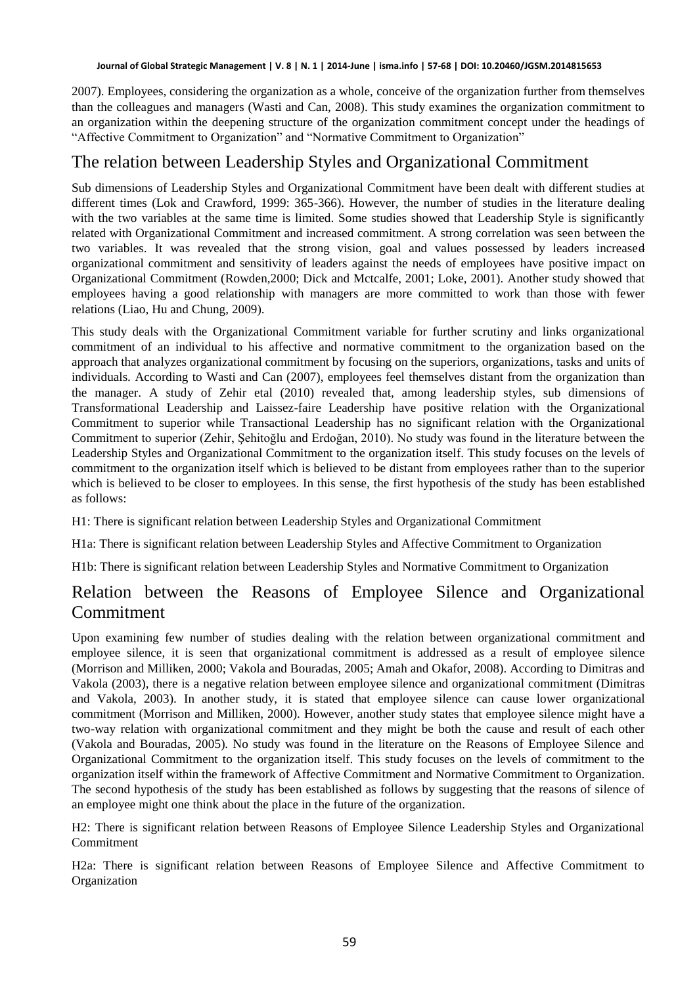2007). Employees, considering the organization as a whole, conceive of the organization further from themselves than the colleagues and managers (Wasti and Can, 2008). This study examines the organization commitment to an organization within the deepening structure of the organization commitment concept under the headings of "Affective Commitment to Organization" and "Normative Commitment to Organization"

# The relation between Leadership Styles and Organizational Commitment

Sub dimensions of Leadership Styles and Organizational Commitment have been dealt with different studies at different times (Lok and Crawford, 1999: 365-366). However, the number of studies in the literature dealing with the two variables at the same time is limited. Some studies showed that Leadership Style is significantly related with Organizational Commitment and increased commitment. A strong correlation was seen between the two variables. It was revealed that the strong vision, goal and values possessed by leaders increased organizational commitment and sensitivity of leaders against the needs of employees have positive impact on Organizational Commitment (Rowden,2000; Dick and Mctcalfe, 2001; Loke, 2001). Another study showed that employees having a good relationship with managers are more committed to work than those with fewer relations (Liao, Hu and Chung, 2009).

This study deals with the Organizational Commitment variable for further scrutiny and links organizational commitment of an individual to his affective and normative commitment to the organization based on the approach that analyzes organizational commitment by focusing on the superiors, organizations, tasks and units of individuals. According to Wasti and Can (2007), employees feel themselves distant from the organization than the manager. A study of Zehir etal (2010) revealed that, among leadership styles, sub dimensions of Transformational Leadership and Laissez-faire Leadership have positive relation with the Organizational Commitment to superior while Transactional Leadership has no significant relation with the Organizational Commitment to superior (Zehir, Şehitoğlu and Erdoğan, 2010). No study was found in the literature between the Leadership Styles and Organizational Commitment to the organization itself. This study focuses on the levels of commitment to the organization itself which is believed to be distant from employees rather than to the superior which is believed to be closer to employees. In this sense, the first hypothesis of the study has been established as follows:

H1: There is significant relation between Leadership Styles and Organizational Commitment

H1a: There is significant relation between Leadership Styles and Affective Commitment to Organization

H1b: There is significant relation between Leadership Styles and Normative Commitment to Organization

# Relation between the Reasons of Employee Silence and Organizational Commitment

Upon examining few number of studies dealing with the relation between organizational commitment and employee silence, it is seen that organizational commitment is addressed as a result of employee silence (Morrison and Milliken, 2000; Vakola and Bouradas, 2005; Amah and Okafor, 2008). According to Dimitras and Vakola (2003), there is a negative relation between employee silence and organizational commitment (Dimitras and Vakola, 2003). In another study, it is stated that employee silence can cause lower organizational commitment (Morrison and Milliken, 2000). However, another study states that employee silence might have a two-way relation with organizational commitment and they might be both the cause and result of each other (Vakola and Bouradas, 2005). No study was found in the literature on the Reasons of Employee Silence and Organizational Commitment to the organization itself. This study focuses on the levels of commitment to the organization itself within the framework of Affective Commitment and Normative Commitment to Organization. The second hypothesis of the study has been established as follows by suggesting that the reasons of silence of an employee might one think about the place in the future of the organization.

H2: There is significant relation between Reasons of Employee Silence Leadership Styles and Organizational Commitment

H2a: There is significant relation between Reasons of Employee Silence and Affective Commitment to Organization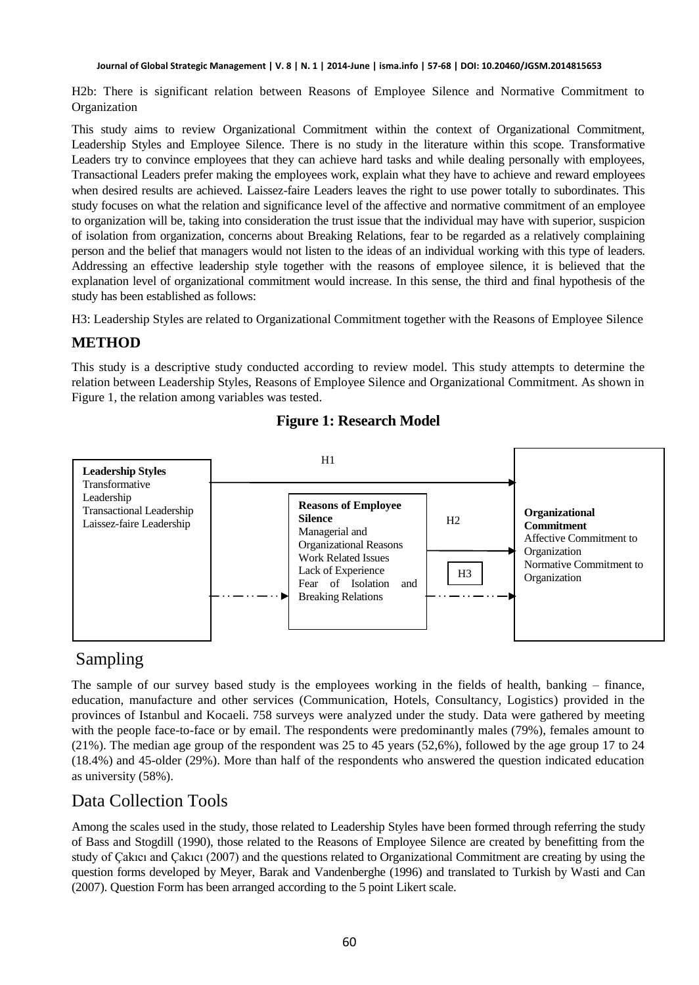H2b: There is significant relation between Reasons of Employee Silence and Normative Commitment to Organization

This study aims to review Organizational Commitment within the context of Organizational Commitment, Leadership Styles and Employee Silence. There is no study in the literature within this scope. Transformative Leaders try to convince employees that they can achieve hard tasks and while dealing personally with employees, Transactional Leaders prefer making the employees work, explain what they have to achieve and reward employees when desired results are achieved. Laissez-faire Leaders leaves the right to use power totally to subordinates. This study focuses on what the relation and significance level of the affective and normative commitment of an employee to organization will be, taking into consideration the trust issue that the individual may have with superior, suspicion of isolation from organization, concerns about Breaking Relations, fear to be regarded as a relatively complaining person and the belief that managers would not listen to the ideas of an individual working with this type of leaders. Addressing an effective leadership style together with the reasons of employee silence, it is believed that the explanation level of organizational commitment would increase. In this sense, the third and final hypothesis of the study has been established as follows:

H3: Leadership Styles are related to Organizational Commitment together with the Reasons of Employee Silence

## **METHOD**

This study is a descriptive study conducted according to review model. This study attempts to determine the relation between Leadership Styles, Reasons of Employee Silence and Organizational Commitment. As shown in Figure 1, the relation among variables was tested.



## **Figure 1: Research Model**

# Sampling

The sample of our survey based study is the employees working in the fields of health, banking – finance, education, manufacture and other services (Communication, Hotels, Consultancy, Logistics) provided in the provinces of Istanbul and Kocaeli. 758 surveys were analyzed under the study. Data were gathered by meeting with the people face-to-face or by email. The respondents were predominantly males (79%), females amount to (21%). The median age group of the respondent was 25 to 45 years (52,6%), followed by the age group 17 to 24 (18.4%) and 45-older (29%). More than half of the respondents who answered the question indicated education as university (58%).

# Data Collection Tools

Among the scales used in the study, those related to Leadership Styles have been formed through referring the study of Bass and Stogdill (1990), those related to the Reasons of Employee Silence are created by benefitting from the study of Çakıcı and Çakıcı (2007) and the questions related to Organizational Commitment are creating by using the question forms developed by Meyer, Barak and Vandenberghe (1996) and translated to Turkish by Wasti and Can (2007). Question Form has been arranged according to the 5 point Likert scale.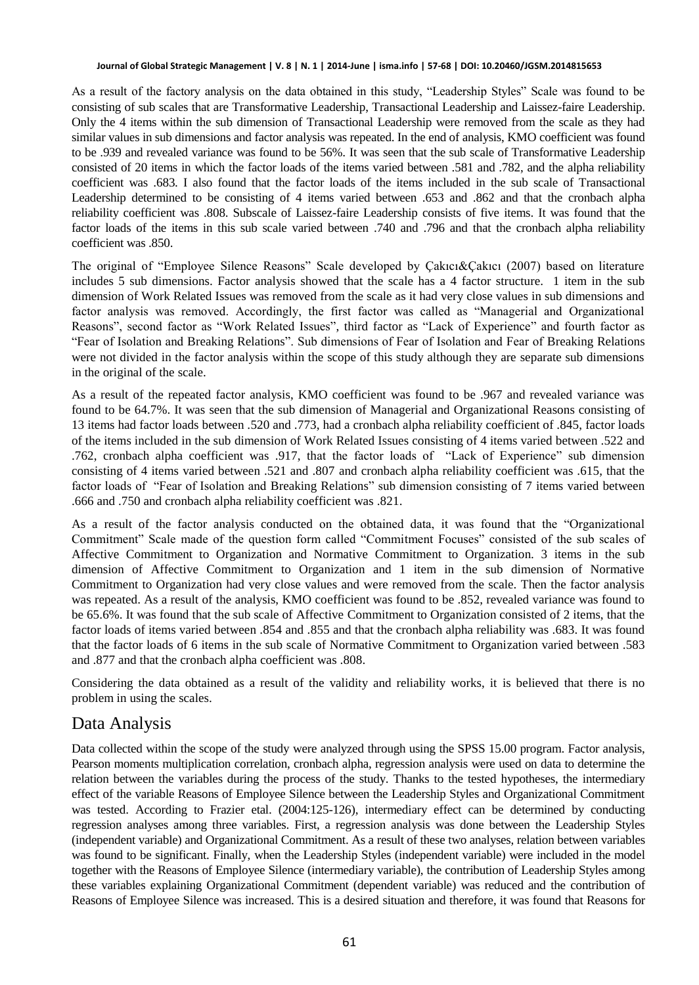#### **Journal of Global Strategic Management | V. 8 | N. 1 | 2014-June | isma.info | 57-68 | DOI: 10.20460/JGSM.2014815653**

As a result of the factory analysis on the data obtained in this study, "Leadership Styles" Scale was found to be consisting of sub scales that are Transformative Leadership, Transactional Leadership and Laissez-faire Leadership. Only the 4 items within the sub dimension of Transactional Leadership were removed from the scale as they had similar values in sub dimensions and factor analysis was repeated. In the end of analysis, KMO coefficient was found to be .939 and revealed variance was found to be 56%. It was seen that the sub scale of Transformative Leadership consisted of 20 items in which the factor loads of the items varied between .581 and .782, and the alpha reliability coefficient was .683. I also found that the factor loads of the items included in the sub scale of Transactional Leadership determined to be consisting of 4 items varied between .653 and .862 and that the cronbach alpha reliability coefficient was .808. Subscale of Laissez-faire Leadership consists of five items. It was found that the factor loads of the items in this sub scale varied between .740 and .796 and that the cronbach alpha reliability coefficient was .850.

The original of "Employee Silence Reasons" Scale developed by Çakıcı&Çakıcı (2007) based on literature includes 5 sub dimensions. Factor analysis showed that the scale has a 4 factor structure. 1 item in the sub dimension of Work Related Issues was removed from the scale as it had very close values in sub dimensions and factor analysis was removed. Accordingly, the first factor was called as "Managerial and Organizational Reasons", second factor as "Work Related Issues", third factor as "Lack of Experience" and fourth factor as "Fear of Isolation and Breaking Relations". Sub dimensions of Fear of Isolation and Fear of Breaking Relations were not divided in the factor analysis within the scope of this study although they are separate sub dimensions in the original of the scale.

As a result of the repeated factor analysis, KMO coefficient was found to be .967 and revealed variance was found to be 64.7%. It was seen that the sub dimension of Managerial and Organizational Reasons consisting of 13 items had factor loads between .520 and .773, had a cronbach alpha reliability coefficient of .845, factor loads of the items included in the sub dimension of Work Related Issues consisting of 4 items varied between .522 and .762, cronbach alpha coefficient was .917, that the factor loads of "Lack of Experience" sub dimension consisting of 4 items varied between .521 and .807 and cronbach alpha reliability coefficient was .615, that the factor loads of "Fear of Isolation and Breaking Relations" sub dimension consisting of 7 items varied between .666 and .750 and cronbach alpha reliability coefficient was .821.

As a result of the factor analysis conducted on the obtained data, it was found that the "Organizational Commitment" Scale made of the question form called "Commitment Focuses" consisted of the sub scales of Affective Commitment to Organization and Normative Commitment to Organization. 3 items in the sub dimension of Affective Commitment to Organization and 1 item in the sub dimension of Normative Commitment to Organization had very close values and were removed from the scale. Then the factor analysis was repeated. As a result of the analysis, KMO coefficient was found to be .852, revealed variance was found to be 65.6%. It was found that the sub scale of Affective Commitment to Organization consisted of 2 items, that the factor loads of items varied between .854 and .855 and that the cronbach alpha reliability was .683. It was found that the factor loads of 6 items in the sub scale of Normative Commitment to Organization varied between .583 and .877 and that the cronbach alpha coefficient was .808.

Considering the data obtained as a result of the validity and reliability works, it is believed that there is no problem in using the scales.

# Data Analysis

Data collected within the scope of the study were analyzed through using the SPSS 15.00 program. Factor analysis, Pearson moments multiplication correlation, cronbach alpha, regression analysis were used on data to determine the relation between the variables during the process of the study. Thanks to the tested hypotheses, the intermediary effect of the variable Reasons of Employee Silence between the Leadership Styles and Organizational Commitment was tested. According to Frazier etal. (2004:125-126), intermediary effect can be determined by conducting regression analyses among three variables. First, a regression analysis was done between the Leadership Styles (independent variable) and Organizational Commitment. As a result of these two analyses, relation between variables was found to be significant. Finally, when the Leadership Styles (independent variable) were included in the model together with the Reasons of Employee Silence (intermediary variable), the contribution of Leadership Styles among these variables explaining Organizational Commitment (dependent variable) was reduced and the contribution of Reasons of Employee Silence was increased. This is a desired situation and therefore, it was found that Reasons for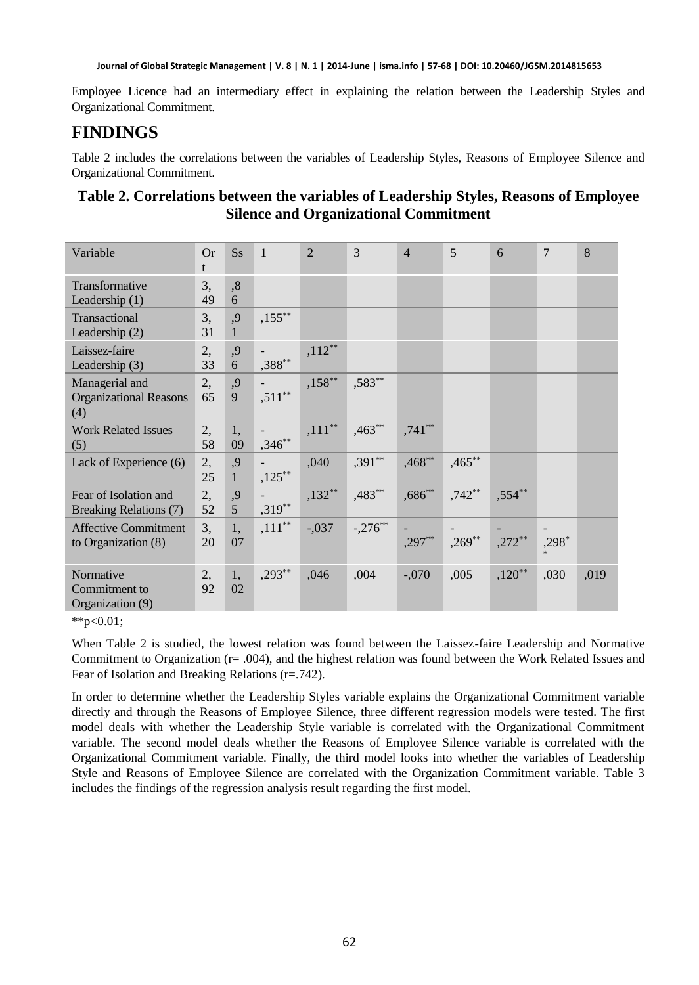Employee Licence had an intermediary effect in explaining the relation between the Leadership Styles and Organizational Commitment.

## **FINDINGS**

Table 2 includes the correlations between the variables of Leadership Styles, Reasons of Employee Silence and Organizational Commitment.

| Table 2. Correlations between the variables of Leadership Styles, Reasons of Employee |
|---------------------------------------------------------------------------------------|
| <b>Silence and Organizational Commitment</b>                                          |

| Variable                                               | Or<br>t  | $S_{S}$            | $\mathbf{1}$ | $\overline{2}$ | 3         | $\overline{4}$ | 5         | 6         | 7     | 8    |
|--------------------------------------------------------|----------|--------------------|--------------|----------------|-----------|----------------|-----------|-----------|-------|------|
| Transformative<br>Leadership (1)                       | 3,<br>49 | ,8<br>6            |              |                |           |                |           |           |       |      |
| Transactional<br>Leadership $(2)$                      | 3,<br>31 | ,9<br>$\mathbf{1}$ | $,155***$    |                |           |                |           |           |       |      |
| Laissez-faire<br>Leadership $(3)$                      | 2,<br>33 | ,9<br>6            | ,388**       | $,112**$       |           |                |           |           |       |      |
| Managerial and<br><b>Organizational Reasons</b><br>(4) | 2,<br>65 | ,9<br>9            | $,511**$     | $,158***$      | ,583**    |                |           |           |       |      |
| <b>Work Related Issues</b><br>(5)                      | 2,<br>58 | 1,<br>09           | $,346**$     | $,111**$       | $,463**$  | $,741**$       |           |           |       |      |
| Lack of Experience (6)                                 | 2,<br>25 | ,9<br>$\mathbf{1}$ | $,125***$    | ,040           | $,391**$  | $,468**$       | $,465***$ |           |       |      |
| Fear of Isolation and<br><b>Breaking Relations (7)</b> | 2,<br>52 | ,9<br>5            | $,319**$     | $,132**$       | $,483**$  | $,686^{**}$    | $,742**$  | $,554***$ |       |      |
| <b>Affective Commitment</b><br>to Organization $(8)$   | 3,<br>20 | 1.<br>07           | $,111***$    | $-.037$        | $-.276**$ | $,297**$       | $,269**$  | $,272**$  | ,298* |      |
| Normative<br>Commitment to<br>Organization (9)         | 2,<br>92 | 1,<br>02           | $,293**$     | ,046           | ,004      | $-.070$        | ,005      | $,120**$  | ,030  | ,019 |

\*\*p< $0.01$ ;

When Table 2 is studied, the lowest relation was found between the Laissez-faire Leadership and Normative Commitment to Organization (r= .004), and the highest relation was found between the Work Related Issues and Fear of Isolation and Breaking Relations (r=.742).

In order to determine whether the Leadership Styles variable explains the Organizational Commitment variable directly and through the Reasons of Employee Silence, three different regression models were tested. The first model deals with whether the Leadership Style variable is correlated with the Organizational Commitment variable. The second model deals whether the Reasons of Employee Silence variable is correlated with the Organizational Commitment variable. Finally, the third model looks into whether the variables of Leadership Style and Reasons of Employee Silence are correlated with the Organization Commitment variable. Table 3 includes the findings of the regression analysis result regarding the first model.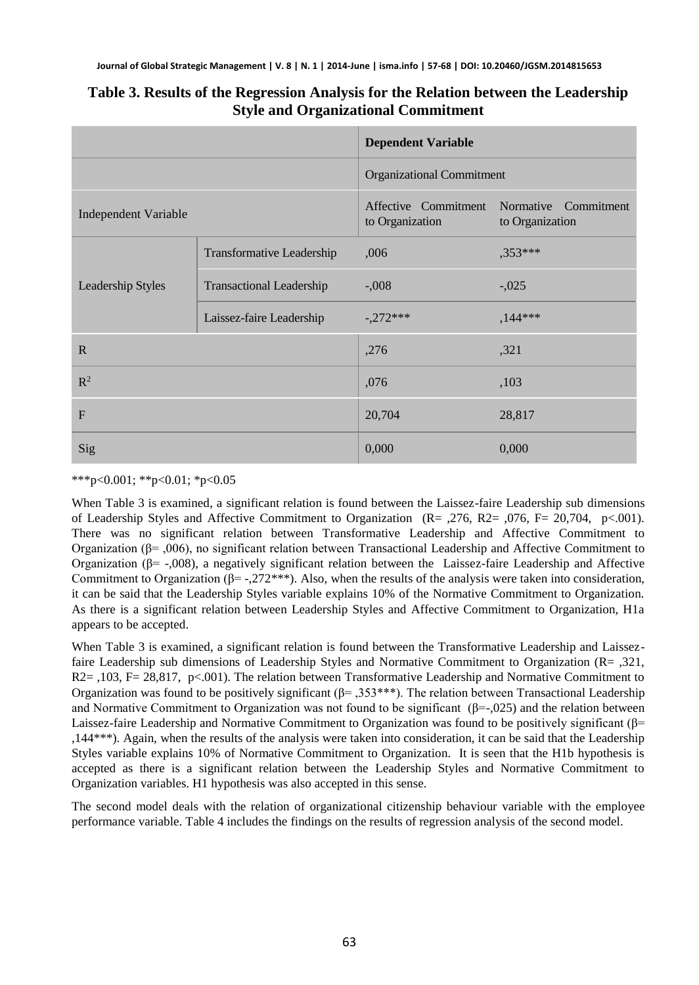|                             |                                 | <b>Dependent Variable</b>               |                                         |  |  |  |
|-----------------------------|---------------------------------|-----------------------------------------|-----------------------------------------|--|--|--|
|                             |                                 | <b>Organizational Commitment</b>        |                                         |  |  |  |
| <b>Independent Variable</b> |                                 | Affective Commitment<br>to Organization | Normative Commitment<br>to Organization |  |  |  |
| Leadership Styles           | Transformative Leadership       | ,006                                    | ,353***                                 |  |  |  |
|                             | <b>Transactional Leadership</b> | $-.008$                                 | $-.025$                                 |  |  |  |
|                             | Laissez-faire Leadership        | $-272***$                               | $,144***$                               |  |  |  |
| $\mathbb{R}$                |                                 | ,276                                    | ,321                                    |  |  |  |
| $\mathbb{R}^2$              |                                 | ,076                                    | ,103                                    |  |  |  |
| $\mathbf{F}$                |                                 | 20,704                                  | 28,817                                  |  |  |  |
| Sig                         |                                 | 0,000                                   | 0,000                                   |  |  |  |

### **Table 3. Results of the Regression Analysis for the Relation between the Leadership Style and Organizational Commitment**

\*\*\*p<0.001; \*\*p<0.01; \*p<0.05

When Table 3 is examined, a significant relation is found between the Laissez-faire Leadership sub dimensions of Leadership Styles and Affective Commitment to Organization (R= ,276, R2= ,076, F= 20,704, p<.001). There was no significant relation between Transformative Leadership and Affective Commitment to Organization (β= ,006), no significant relation between Transactional Leadership and Affective Commitment to Organization (β= -,008), a negatively significant relation between the Laissez-faire Leadership and Affective Commitment to Organization ( $\beta$ = -,272\*\*\*). Also, when the results of the analysis were taken into consideration, it can be said that the Leadership Styles variable explains 10% of the Normative Commitment to Organization. As there is a significant relation between Leadership Styles and Affective Commitment to Organization, H1a appears to be accepted.

When Table 3 is examined, a significant relation is found between the Transformative Leadership and Laissezfaire Leadership sub dimensions of Leadership Styles and Normative Commitment to Organization (R= ,321, R2= ,103, F= 28,817, p<.001). The relation between Transformative Leadership and Normative Commitment to Organization was found to be positively significant ( $\beta$ = ,353\*\*\*). The relation between Transactional Leadership and Normative Commitment to Organization was not found to be significant  $(\beta = 0.025)$  and the relation between Laissez-faire Leadership and Normative Commitment to Organization was found to be positively significant ( $\beta$ = ,144\*\*\*). Again, when the results of the analysis were taken into consideration, it can be said that the Leadership Styles variable explains 10% of Normative Commitment to Organization. It is seen that the H1b hypothesis is accepted as there is a significant relation between the Leadership Styles and Normative Commitment to Organization variables. H1 hypothesis was also accepted in this sense.

The second model deals with the relation of organizational citizenship behaviour variable with the employee performance variable. Table 4 includes the findings on the results of regression analysis of the second model.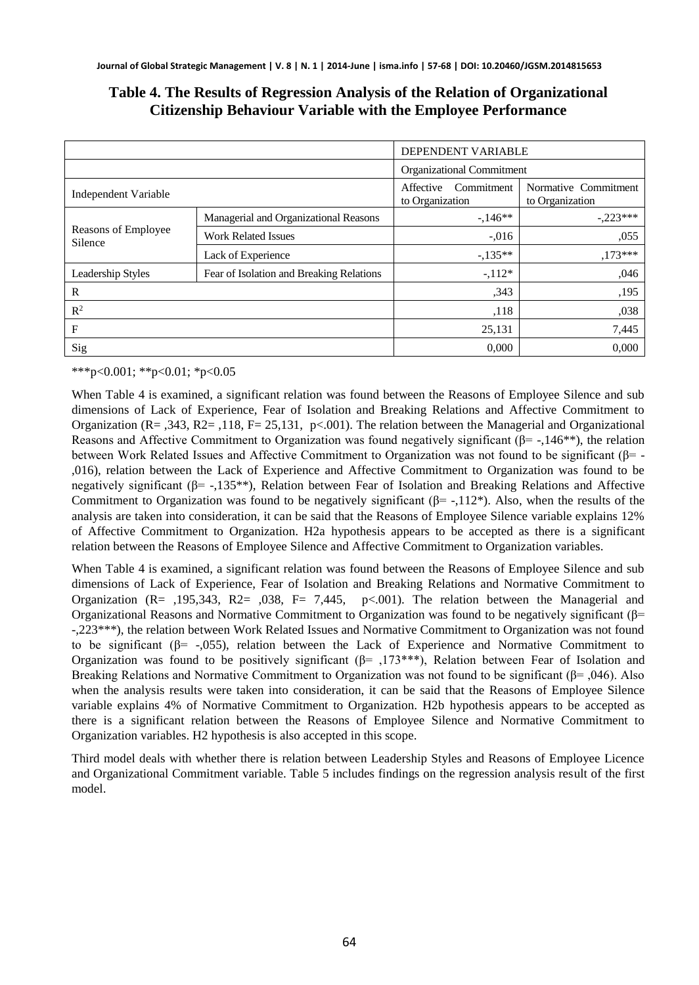|                                |                                            | DEPENDENT VARIABLE |                                         |            |
|--------------------------------|--------------------------------------------|--------------------|-----------------------------------------|------------|
|                                | Organizational Commitment                  |                    |                                         |            |
| Independent Variable           | Affective<br>Commitment<br>to Organization |                    | Normative Commitment<br>to Organization |            |
| Reasons of Employee<br>Silence | Managerial and Organizational Reasons      |                    | $-146**$                                | $-.223***$ |
|                                | <b>Work Related Issues</b>                 | $-.016$            |                                         | ,055       |
|                                | Lack of Experience                         |                    | $-.135**$                               | $,173***$  |
| Leadership Styles              | Fear of Isolation and Breaking Relations   |                    | $-112*$                                 | ,046       |
| R                              |                                            | .343               | ,195                                    |            |
| $\mathbb{R}^2$                 |                                            | ,118               | ,038                                    |            |
| F                              |                                            | 25,131             | 7,445                                   |            |
| Sig                            |                                            |                    | 0,000                                   | 0,000      |

### **Table 4. The Results of Regression Analysis of the Relation of Organizational Citizenship Behaviour Variable with the Employee Performance**

\*\*\*p<0.001; \*\*p<0.01; \*p<0.05

When Table 4 is examined, a significant relation was found between the Reasons of Employee Silence and sub dimensions of Lack of Experience, Fear of Isolation and Breaking Relations and Affective Commitment to Organization (R= ,343, R2= ,118, F= 25,131, p<.001). The relation between the Managerial and Organizational Reasons and Affective Commitment to Organization was found negatively significant ( $\beta$ = -,146<sup>\*\*</sup>), the relation between Work Related Issues and Affective Commitment to Organization was not found to be significant ( $\beta$ = -,016), relation between the Lack of Experience and Affective Commitment to Organization was found to be negatively significant ( $\beta$ = -,135<sup>\*\*</sup>), Relation between Fear of Isolation and Breaking Relations and Affective Commitment to Organization was found to be negatively significant  $(\beta = -112^*)$ . Also, when the results of the analysis are taken into consideration, it can be said that the Reasons of Employee Silence variable explains 12% of Affective Commitment to Organization. H2a hypothesis appears to be accepted as there is a significant relation between the Reasons of Employee Silence and Affective Commitment to Organization variables.

When Table 4 is examined, a significant relation was found between the Reasons of Employee Silence and sub dimensions of Lack of Experience, Fear of Isolation and Breaking Relations and Normative Commitment to Organization ( $R = 195,343$ ,  $R = 0.038$ ,  $F = 7,445$ ,  $p < 0.001$ ). The relation between the Managerial and Organizational Reasons and Normative Commitment to Organization was found to be negatively significant (β= -,223\*\*\*), the relation between Work Related Issues and Normative Commitment to Organization was not found to be significant ( $\beta$ = -,055), relation between the Lack of Experience and Normative Commitment to Organization was found to be positively significant (β= ,173\*\*\*), Relation between Fear of Isolation and Breaking Relations and Normative Commitment to Organization was not found to be significant ( $\beta$ =, 046). Also when the analysis results were taken into consideration, it can be said that the Reasons of Employee Silence variable explains 4% of Normative Commitment to Organization. H2b hypothesis appears to be accepted as there is a significant relation between the Reasons of Employee Silence and Normative Commitment to Organization variables. H2 hypothesis is also accepted in this scope.

Third model deals with whether there is relation between Leadership Styles and Reasons of Employee Licence and Organizational Commitment variable. Table 5 includes findings on the regression analysis result of the first model.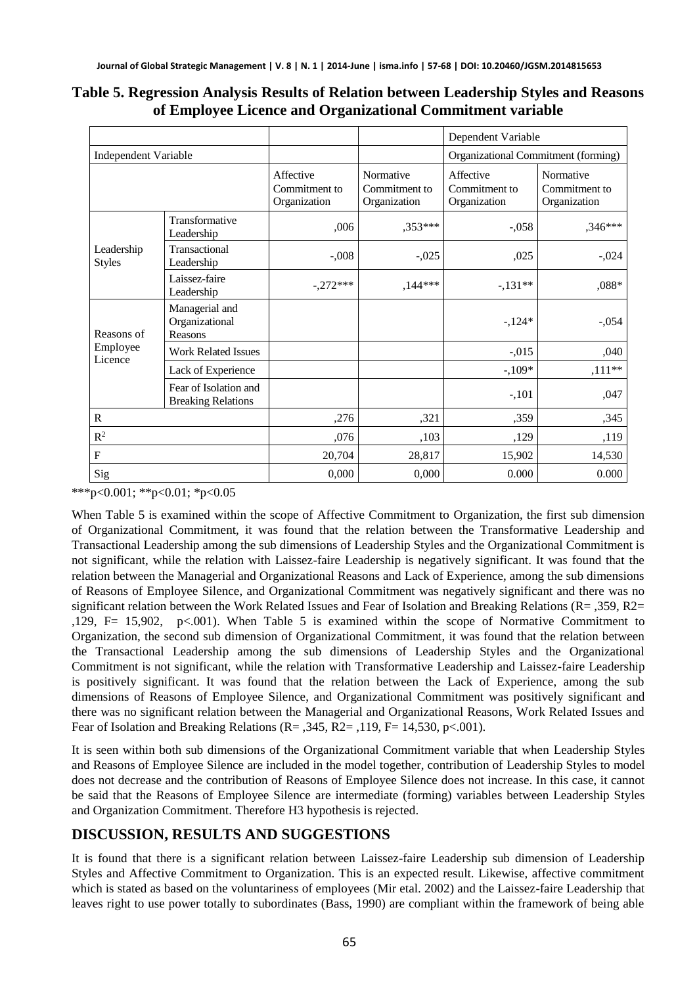|                                   |                                                    |                                            |                                            | Dependent Variable                         |                                            |  |
|-----------------------------------|----------------------------------------------------|--------------------------------------------|--------------------------------------------|--------------------------------------------|--------------------------------------------|--|
| Independent Variable              |                                                    |                                            |                                            | Organizational Commitment (forming)        |                                            |  |
|                                   |                                                    | Affective<br>Commitment to<br>Organization | Normative<br>Commitment to<br>Organization | Affective<br>Commitment to<br>Organization | Normative<br>Commitment to<br>Organization |  |
| Leadership<br><b>Styles</b>       | Transformative<br>Leadership                       | ,006                                       | $.353***$                                  | $-.058$                                    | ,346***                                    |  |
|                                   | Transactional<br>Leadership                        | $-.008$                                    | $-.025$                                    | ,025                                       | $-.024$                                    |  |
|                                   | Laissez-faire<br>Leadership                        | $-.272***$                                 | $,144***$                                  | $-.131**$                                  | $,088*$                                    |  |
| Reasons of<br>Employee<br>Licence | Managerial and<br>Organizational<br>Reasons        |                                            |                                            | $-124*$                                    | $-.054$                                    |  |
|                                   | <b>Work Related Issues</b>                         |                                            |                                            | $-.015$                                    | ,040                                       |  |
|                                   | Lack of Experience                                 |                                            |                                            | $-109*$                                    | $,111**$                                   |  |
|                                   | Fear of Isolation and<br><b>Breaking Relations</b> |                                            |                                            | $-.101$                                    | ,047                                       |  |
| R                                 |                                                    | ,276                                       | ,321                                       | ,359                                       | ,345                                       |  |
| $R^2$                             |                                                    | ,076                                       | ,103                                       | ,129                                       | ,119                                       |  |
| F                                 |                                                    | 20,704                                     | 28,817                                     | 15,902                                     | 14,530                                     |  |
| Sig                               |                                                    | 0,000                                      | 0,000                                      | 0.000                                      | 0.000                                      |  |

#### **Table 5. Regression Analysis Results of Relation between Leadership Styles and Reasons of Employee Licence and Organizational Commitment variable**

\*\*\*p<0.001; \*\*p<0.01; \*p<0.05

When Table 5 is examined within the scope of Affective Commitment to Organization, the first sub dimension of Organizational Commitment, it was found that the relation between the Transformative Leadership and Transactional Leadership among the sub dimensions of Leadership Styles and the Organizational Commitment is not significant, while the relation with Laissez-faire Leadership is negatively significant. It was found that the relation between the Managerial and Organizational Reasons and Lack of Experience, among the sub dimensions of Reasons of Employee Silence, and Organizational Commitment was negatively significant and there was no significant relation between the Work Related Issues and Fear of Isolation and Breaking Relations (R= ,359, R2= ,129, F= 15,902, p<.001). When Table 5 is examined within the scope of Normative Commitment to Organization, the second sub dimension of Organizational Commitment, it was found that the relation between the Transactional Leadership among the sub dimensions of Leadership Styles and the Organizational Commitment is not significant, while the relation with Transformative Leadership and Laissez-faire Leadership is positively significant. It was found that the relation between the Lack of Experience, among the sub dimensions of Reasons of Employee Silence, and Organizational Commitment was positively significant and there was no significant relation between the Managerial and Organizational Reasons, Work Related Issues and Fear of Isolation and Breaking Relations ( $R = 0.345$ ,  $R = 119$ ,  $F = 1400$ ,  $R = 0.001$ ).

It is seen within both sub dimensions of the Organizational Commitment variable that when Leadership Styles and Reasons of Employee Silence are included in the model together, contribution of Leadership Styles to model does not decrease and the contribution of Reasons of Employee Silence does not increase. In this case, it cannot be said that the Reasons of Employee Silence are intermediate (forming) variables between Leadership Styles and Organization Commitment. Therefore H3 hypothesis is rejected.

### **DISCUSSION, RESULTS AND SUGGESTIONS**

It is found that there is a significant relation between Laissez-faire Leadership sub dimension of Leadership Styles and Affective Commitment to Organization. This is an expected result. Likewise, affective commitment which is stated as based on the voluntariness of employees (Mir etal. 2002) and the Laissez-faire Leadership that leaves right to use power totally to subordinates (Bass, 1990) are compliant within the framework of being able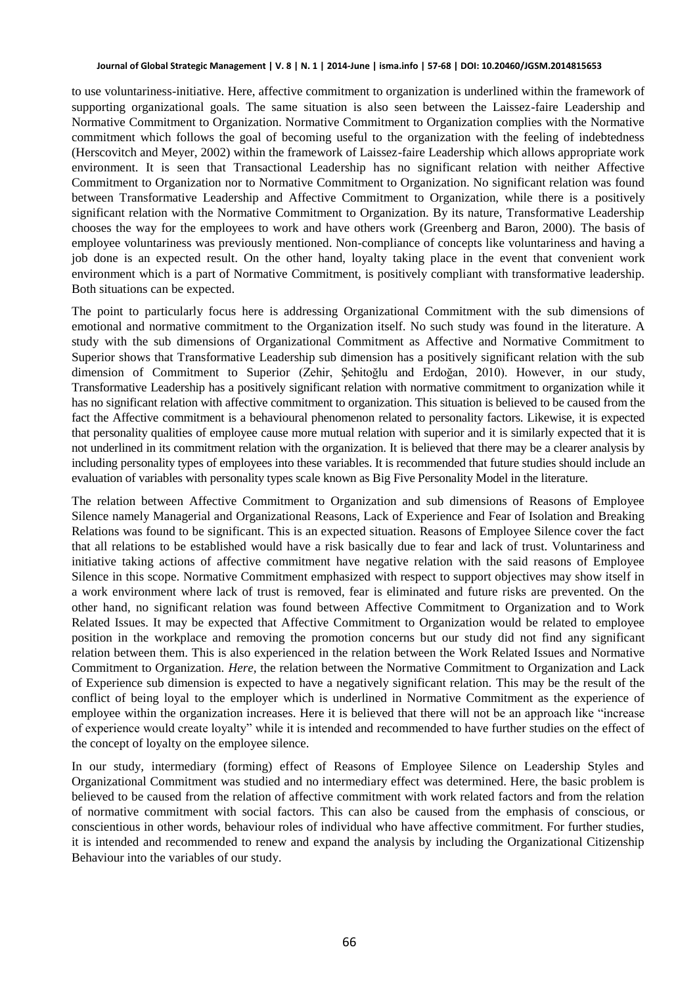#### **Journal of Global Strategic Management | V. 8 | N. 1 | 2014-June | isma.info | 57-68 | DOI: 10.20460/JGSM.2014815653**

to use voluntariness-initiative. Here, affective commitment to organization is underlined within the framework of supporting organizational goals. The same situation is also seen between the Laissez-faire Leadership and Normative Commitment to Organization. Normative Commitment to Organization complies with the Normative commitment which follows the goal of becoming useful to the organization with the feeling of indebtedness (Herscovitch and Meyer, 2002) within the framework of Laissez-faire Leadership which allows appropriate work environment. It is seen that Transactional Leadership has no significant relation with neither Affective Commitment to Organization nor to Normative Commitment to Organization. No significant relation was found between Transformative Leadership and Affective Commitment to Organization, while there is a positively significant relation with the Normative Commitment to Organization. By its nature, Transformative Leadership chooses the way for the employees to work and have others work (Greenberg and Baron, 2000). The basis of employee voluntariness was previously mentioned. Non-compliance of concepts like voluntariness and having a job done is an expected result. On the other hand, loyalty taking place in the event that convenient work environment which is a part of Normative Commitment, is positively compliant with transformative leadership. Both situations can be expected.

The point to particularly focus here is addressing Organizational Commitment with the sub dimensions of emotional and normative commitment to the Organization itself. No such study was found in the literature. A study with the sub dimensions of Organizational Commitment as Affective and Normative Commitment to Superior shows that Transformative Leadership sub dimension has a positively significant relation with the sub dimension of Commitment to Superior (Zehir, Şehitoğlu and Erdoğan, 2010). However, in our study, Transformative Leadership has a positively significant relation with normative commitment to organization while it has no significant relation with affective commitment to organization. This situation is believed to be caused from the fact the Affective commitment is a behavioural phenomenon related to personality factors. Likewise, it is expected that personality qualities of employee cause more mutual relation with superior and it is similarly expected that it is not underlined in its commitment relation with the organization. It is believed that there may be a clearer analysis by including personality types of employees into these variables. It is recommended that future studies should include an evaluation of variables with personality types scale known as Big Five Personality Model in the literature.

The relation between Affective Commitment to Organization and sub dimensions of Reasons of Employee Silence namely Managerial and Organizational Reasons, Lack of Experience and Fear of Isolation and Breaking Relations was found to be significant. This is an expected situation. Reasons of Employee Silence cover the fact that all relations to be established would have a risk basically due to fear and lack of trust. Voluntariness and initiative taking actions of affective commitment have negative relation with the said reasons of Employee Silence in this scope. Normative Commitment emphasized with respect to support objectives may show itself in a work environment where lack of trust is removed, fear is eliminated and future risks are prevented. On the other hand, no significant relation was found between Affective Commitment to Organization and to Work Related Issues. It may be expected that Affective Commitment to Organization would be related to employee position in the workplace and removing the promotion concerns but our study did not find any significant relation between them. This is also experienced in the relation between the Work Related Issues and Normative Commitment to Organization. *Here,* the relation between the Normative Commitment to Organization and Lack of Experience sub dimension is expected to have a negatively significant relation. This may be the result of the conflict of being loyal to the employer which is underlined in Normative Commitment as the experience of employee within the organization increases. Here it is believed that there will not be an approach like "increase of experience would create loyalty" while it is intended and recommended to have further studies on the effect of the concept of loyalty on the employee silence.

In our study, intermediary (forming) effect of Reasons of Employee Silence on Leadership Styles and Organizational Commitment was studied and no intermediary effect was determined. Here, the basic problem is believed to be caused from the relation of affective commitment with work related factors and from the relation of normative commitment with social factors. This can also be caused from the emphasis of conscious, or conscientious in other words, behaviour roles of individual who have affective commitment. For further studies, it is intended and recommended to renew and expand the analysis by including the Organizational Citizenship Behaviour into the variables of our study.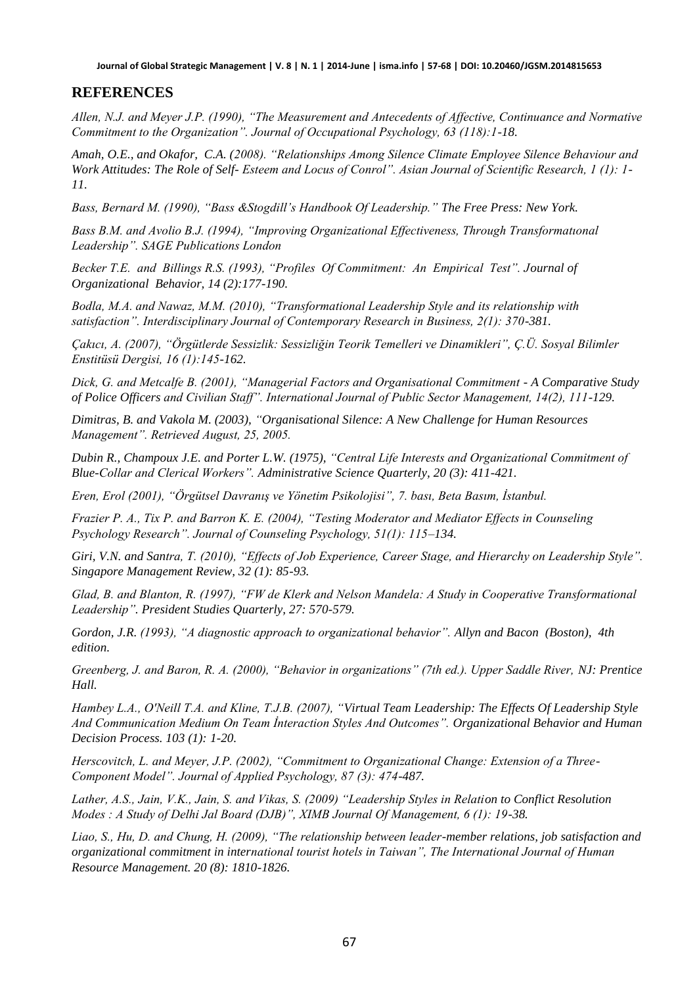### **REFERENCES**

*Allen, N.J. and Meyer J.P. (1990), "The Measurement and Antecedents of Affective, Continuance and Normative Commitment to the Organization". Journal of Occupational Psychology, 63 (118):1-18.*

*Amah, O.E., and Okafor, C.A. (2008). "Relationships Among Silence Climate Employee Silence Behaviour and Work Attitudes: The Role of Self- Esteem and Locus of Conrol". Asian Journal of Scientific Research, 1 (1): 1- 11.*

*Bass, Bernard M. (1990), "Bass &Stogdill's Handbook Of Leadership." The Free Press: New York.* 

*Bass B.M. and Avolio B.J. (1994), "Improving Organizational Effectiveness, Through Transformatıonal Leadership". SAGE Publications London*

*Becker T.E. and Billings R.S. (1993), "Profiles Of Commitment: An Empirical Test". Journal of Organizational Behavior, 14 (2):177-190.*

*Bodla, M.A. and Nawaz, M.M. (2010), "Transformational Leadership Style and its relationship with satisfaction". Interdisciplinary Journal of Contemporary Research in Business, 2(1): 370-381.* 

*Çakıcı, A. (2007), "Örgütlerde Sessizlik: Sessizliğin Teorik Temelleri ve Dinamikleri", Ç.Ü. Sosyal Bilimler Enstitüsü Dergisi, 16 (1):145-162.*

*Dick, G. and Metcalfe B. (2001), "Managerial Factors and Organisational Commitment - A Comparative Study of Police Officers and Civilian Staff". International Journal of Public Sector Management, 14(2), 111-129.*

*Dimitras, B. and Vakola M. (2003), "Organisational Silence: A New Challenge for Human Resources Management". Retrieved August, 25, 2005.*

*Dubin R., Champoux J.E. and Porter L.W. (1975), "Central Life Interests and Organizational Commitment of Blue-Collar and Clerical Workers". Administrative Science Quarterly, 20 (3): 411-421.* 

*Eren, Erol (2001), "Örgütsel Davranış ve Yönetim Psikolojisi", 7. bası, Beta Basım, İstanbul.*

*Frazier P. A., Tix P. and Barron K. E. (2004), "Testing Moderator and Mediator Effects in Counseling Psychology Research". Journal of Counseling Psychology, 51(1): 115–134.*

*Giri, V.N. and Santra, T. (2010), "Effects of Job Experience, Career Stage, and Hierarchy on Leadership Style". Singapore Management Review, 32 (1): 85-93.* 

*Glad, B. and Blanton, R. (1997), "FW de Klerk and Nelson Mandela: A Study in Cooperative Transformational Leadership". President Studies Quarterly, 27: 570-579.* 

*Gordon, J.R. (1993), "A diagnostic approach to organizational behavior". Allyn and Bacon (Boston), 4th edition.* 

*Greenberg, J. and Baron, R. A. (2000), "Behavior in organizations" (7th ed.). Upper Saddle River, NJ: Prentice Hall.* 

*Hambey L.A., O'Neill T.A. and Kline, T.J.B. (2007), "Virtual Team Leadership: The Effects Of Leadership Style And Communication Medium On Team İnteraction Styles And Outcomes". Organizational Behavior and Human Decision Process. 103 (1): 1-20.*

*Herscovitch, L. and Meyer, J.P. (2002), "Commitment to Organizational Change: Extension of a Three-Component Model". Journal of Applied Psychology, 87 (3): 474-487.* 

*Lather, A.S., Jain, V.K., Jain, S. and Vikas, S. (2009) "Leadership Styles in Relation to Conflict Resolution Modes : A Study of Delhi Jal Board (DJB)", XIMB Journal Of Management, 6 (1): 19-38.* 

*Liao, S., Hu, D. and Chung, H. (2009), "The relationship between leader-member relations, job satisfaction and organizational commitment in international tourist hotels in Taiwan", The International Journal of Human Resource Management. 20 (8): 1810-1826.*